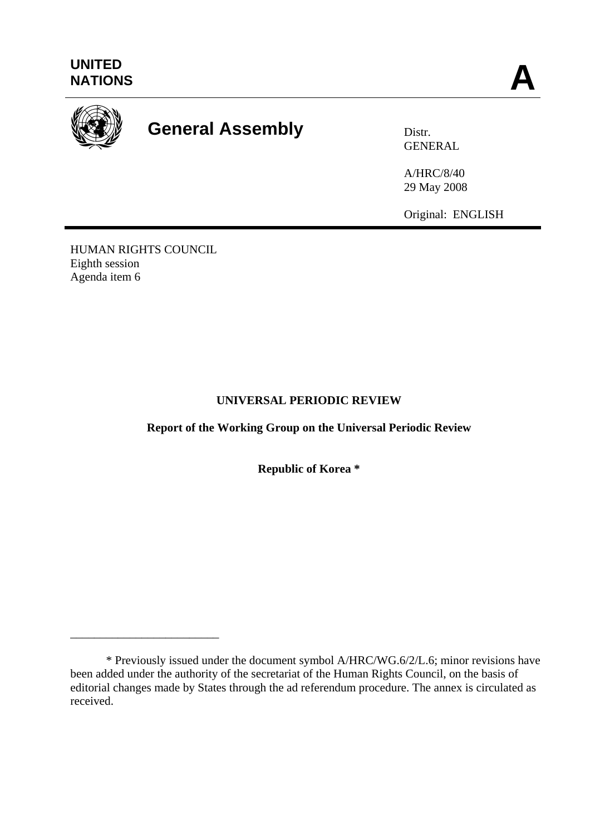

# **General Assembly Distra Distr.**

GENERAL

A/HRC/8/40 29 May 2008

Original: ENGLISH

HUMAN RIGHTS COUNCIL Eighth session Agenda item 6

\_\_\_\_\_\_\_\_\_\_\_\_\_\_\_\_\_\_\_\_\_\_\_\_\_

# **UNIVERSAL PERIODIC REVIEW**

**Report of the Working Group on the Universal Periodic Review**

**Republic of Korea \*** 

 <sup>\*</sup> Previously issued under the document symbol A/HRC/WG.6/2/L.6; minor revisions have been added under the authority of the secretariat of the Human Rights Council, on the basis of editorial changes made by States through the ad referendum procedure. The annex is circulated as received.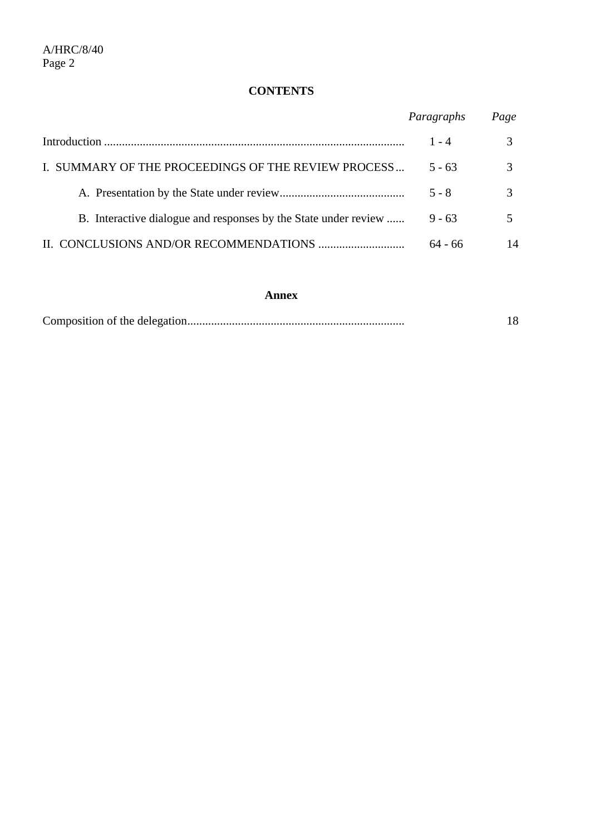# **CONTENTS**

|                                                                 | Paragraphs | Page |
|-----------------------------------------------------------------|------------|------|
|                                                                 | $1 - 4$    |      |
| I. SUMMARY OF THE PROCEEDINGS OF THE REVIEW PROCESS             | $5 - 63$   |      |
|                                                                 | $5 - 8$    |      |
| B. Interactive dialogue and responses by the State under review | $9 - 63$   |      |
|                                                                 | $64 - 66$  | 14   |

#### **Annex**

|--|--|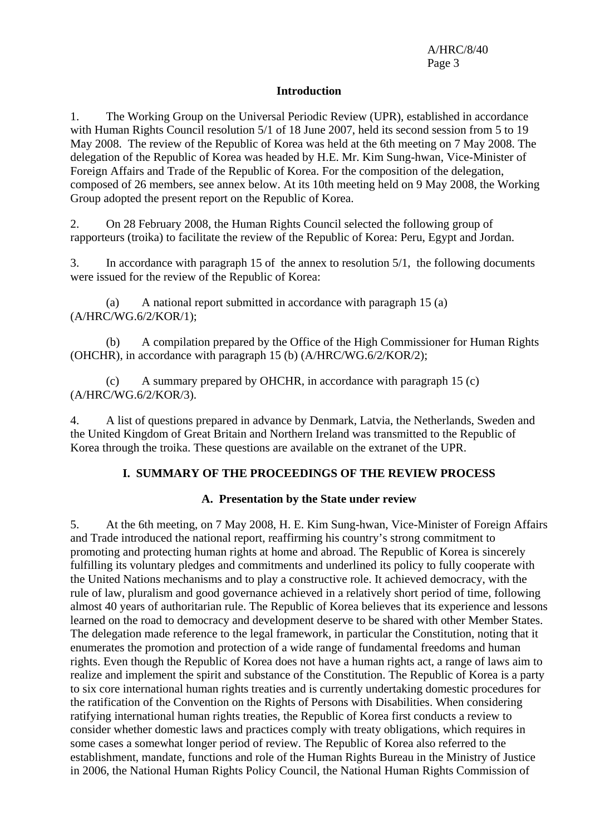### **Introduction**

1. The Working Group on the Universal Periodic Review (UPR), established in accordance with Human Rights Council resolution 5/1 of 18 June 2007, held its second session from 5 to 19 May 2008. The review of the Republic of Korea was held at the 6th meeting on 7 May 2008. The delegation of the Republic of Korea was headed by H.E. Mr. Kim Sung-hwan, Vice-Minister of Foreign Affairs and Trade of the Republic of Korea. For the composition of the delegation, composed of 26 members, see annex below. At its 10th meeting held on 9 May 2008, the Working Group adopted the present report on the Republic of Korea.

2. On 28 February 2008, the Human Rights Council selected the following group of rapporteurs (troika) to facilitate the review of the Republic of Korea: Peru, Egypt and Jordan.

3. In accordance with paragraph 15 of the annex to resolution 5/1, the following documents were issued for the review of the Republic of Korea:

 (a) A national report submitted in accordance with paragraph 15 (a) (A/HRC/WG.6/2/KOR/1);

 (b) A compilation prepared by the Office of the High Commissioner for Human Rights (OHCHR), in accordance with paragraph 15 (b) (A/HRC/WG.6/2/KOR/2);

 (c) A summary prepared by OHCHR, in accordance with paragraph 15 (c) (A/HRC/WG.6/2/KOR/3).

4. A list of questions prepared in advance by Denmark, Latvia, the Netherlands, Sweden and the United Kingdom of Great Britain and Northern Ireland was transmitted to the Republic of Korea through the troika. These questions are available on the extranet of the UPR.

## **I. SUMMARY OF THE PROCEEDINGS OF THE REVIEW PROCESS**

## **A. Presentation by the State under review**

5. At the 6th meeting, on 7 May 2008, H. E. Kim Sung-hwan, Vice-Minister of Foreign Affairs and Trade introduced the national report, reaffirming his country's strong commitment to promoting and protecting human rights at home and abroad. The Republic of Korea is sincerely fulfilling its voluntary pledges and commitments and underlined its policy to fully cooperate with the United Nations mechanisms and to play a constructive role. It achieved democracy, with the rule of law, pluralism and good governance achieved in a relatively short period of time, following almost 40 years of authoritarian rule. The Republic of Korea believes that its experience and lessons learned on the road to democracy and development deserve to be shared with other Member States. The delegation made reference to the legal framework, in particular the Constitution, noting that it enumerates the promotion and protection of a wide range of fundamental freedoms and human rights. Even though the Republic of Korea does not have a human rights act, a range of laws aim to realize and implement the spirit and substance of the Constitution. The Republic of Korea is a party to six core international human rights treaties and is currently undertaking domestic procedures for the ratification of the Convention on the Rights of Persons with Disabilities. When considering ratifying international human rights treaties, the Republic of Korea first conducts a review to consider whether domestic laws and practices comply with treaty obligations, which requires in some cases a somewhat longer period of review. The Republic of Korea also referred to the establishment, mandate, functions and role of the Human Rights Bureau in the Ministry of Justice in 2006, the National Human Rights Policy Council, the National Human Rights Commission of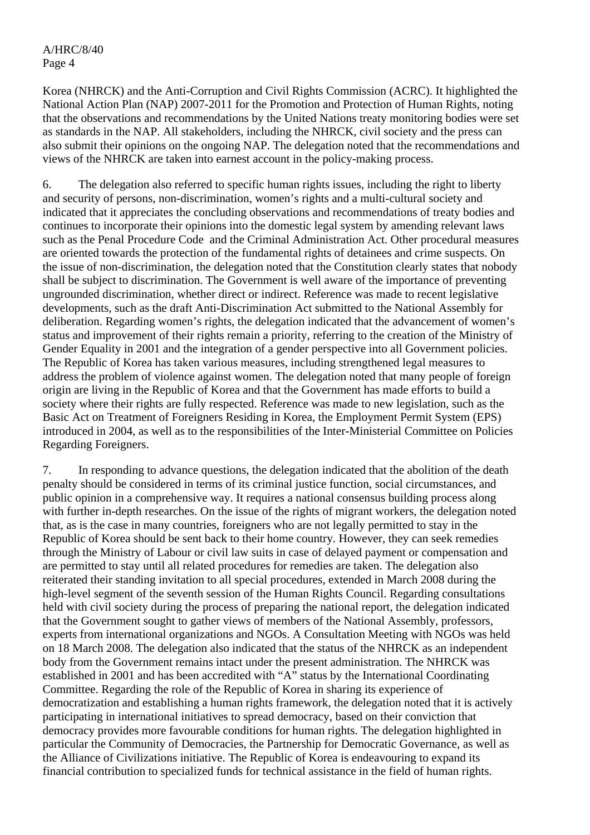Korea (NHRCK) and the Anti-Corruption and Civil Rights Commission (ACRC). It highlighted the National Action Plan (NAP) 2007-2011 for the Promotion and Protection of Human Rights, noting that the observations and recommendations by the United Nations treaty monitoring bodies were set as standards in the NAP. All stakeholders, including the NHRCK, civil society and the press can also submit their opinions on the ongoing NAP. The delegation noted that the recommendations and views of the NHRCK are taken into earnest account in the policy-making process.

6. The delegation also referred to specific human rights issues, including the right to liberty and security of persons, non-discrimination, women's rights and a multi-cultural society and indicated that it appreciates the concluding observations and recommendations of treaty bodies and continues to incorporate their opinions into the domestic legal system by amending relevant laws such as the Penal Procedure Code and the Criminal Administration Act. Other procedural measures are oriented towards the protection of the fundamental rights of detainees and crime suspects. On the issue of non-discrimination, the delegation noted that the Constitution clearly states that nobody shall be subject to discrimination. The Government is well aware of the importance of preventing ungrounded discrimination, whether direct or indirect. Reference was made to recent legislative developments, such as the draft Anti-Discrimination Act submitted to the National Assembly for deliberation. Regarding women's rights, the delegation indicated that the advancement of women's status and improvement of their rights remain a priority, referring to the creation of the Ministry of Gender Equality in 2001 and the integration of a gender perspective into all Government policies. The Republic of Korea has taken various measures, including strengthened legal measures to address the problem of violence against women. The delegation noted that many people of foreign origin are living in the Republic of Korea and that the Government has made efforts to build a society where their rights are fully respected. Reference was made to new legislation, such as the Basic Act on Treatment of Foreigners Residing in Korea, the Employment Permit System (EPS) introduced in 2004, as well as to the responsibilities of the Inter-Ministerial Committee on Policies Regarding Foreigners.

7. In responding to advance questions, the delegation indicated that the abolition of the death penalty should be considered in terms of its criminal justice function, social circumstances, and public opinion in a comprehensive way. It requires a national consensus building process along with further in-depth researches. On the issue of the rights of migrant workers, the delegation noted that, as is the case in many countries, foreigners who are not legally permitted to stay in the Republic of Korea should be sent back to their home country. However, they can seek remedies through the Ministry of Labour or civil law suits in case of delayed payment or compensation and are permitted to stay until all related procedures for remedies are taken. The delegation also reiterated their standing invitation to all special procedures, extended in March 2008 during the high-level segment of the seventh session of the Human Rights Council. Regarding consultations held with civil society during the process of preparing the national report, the delegation indicated that the Government sought to gather views of members of the National Assembly, professors, experts from international organizations and NGOs. A Consultation Meeting with NGOs was held on 18 March 2008. The delegation also indicated that the status of the NHRCK as an independent body from the Government remains intact under the present administration. The NHRCK was established in 2001 and has been accredited with "A" status by the International Coordinating Committee. Regarding the role of the Republic of Korea in sharing its experience of democratization and establishing a human rights framework, the delegation noted that it is actively participating in international initiatives to spread democracy, based on their conviction that democracy provides more favourable conditions for human rights. The delegation highlighted in particular the Community of Democracies, the Partnership for Democratic Governance, as well as the Alliance of Civilizations initiative. The Republic of Korea is endeavouring to expand its financial contribution to specialized funds for technical assistance in the field of human rights.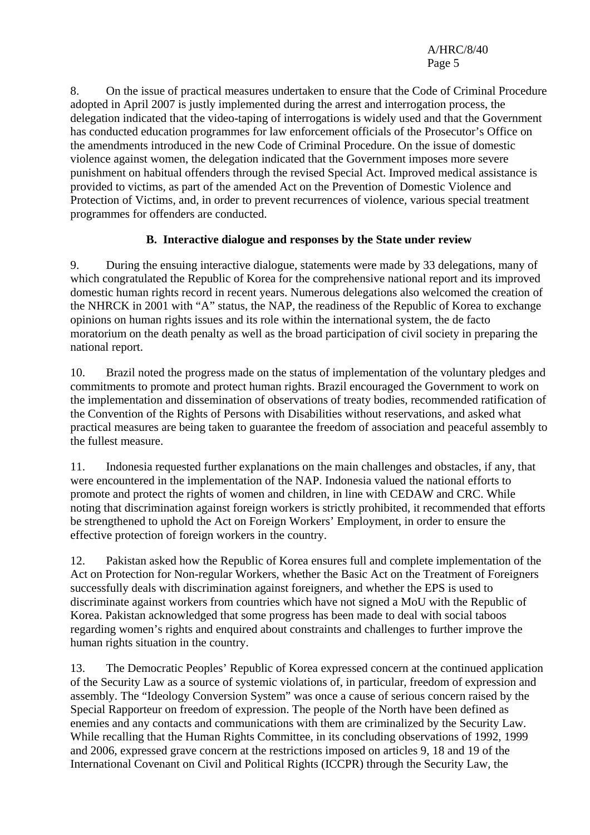8. On the issue of practical measures undertaken to ensure that the Code of Criminal Procedure adopted in April 2007 is justly implemented during the arrest and interrogation process, the delegation indicated that the video-taping of interrogations is widely used and that the Government has conducted education programmes for law enforcement officials of the Prosecutor's Office on the amendments introduced in the new Code of Criminal Procedure. On the issue of domestic violence against women, the delegation indicated that the Government imposes more severe punishment on habitual offenders through the revised Special Act. Improved medical assistance is provided to victims, as part of the amended Act on the Prevention of Domestic Violence and Protection of Victims, and, in order to prevent recurrences of violence, various special treatment programmes for offenders are conducted.

# **B. Interactive dialogue and responses by the State under review**

9. During the ensuing interactive dialogue, statements were made by 33 delegations, many of which congratulated the Republic of Korea for the comprehensive national report and its improved domestic human rights record in recent years. Numerous delegations also welcomed the creation of the NHRCK in 2001 with "A" status, the NAP, the readiness of the Republic of Korea to exchange opinions on human rights issues and its role within the international system, the de facto moratorium on the death penalty as well as the broad participation of civil society in preparing the national report.

10. Brazil noted the progress made on the status of implementation of the voluntary pledges and commitments to promote and protect human rights. Brazil encouraged the Government to work on the implementation and dissemination of observations of treaty bodies, recommended ratification of the Convention of the Rights of Persons with Disabilities without reservations, and asked what practical measures are being taken to guarantee the freedom of association and peaceful assembly to the fullest measure.

11. Indonesia requested further explanations on the main challenges and obstacles, if any, that were encountered in the implementation of the NAP. Indonesia valued the national efforts to promote and protect the rights of women and children, in line with CEDAW and CRC. While noting that discrimination against foreign workers is strictly prohibited, it recommended that efforts be strengthened to uphold the Act on Foreign Workers' Employment, in order to ensure the effective protection of foreign workers in the country.

12. Pakistan asked how the Republic of Korea ensures full and complete implementation of the Act on Protection for Non-regular Workers, whether the Basic Act on the Treatment of Foreigners successfully deals with discrimination against foreigners, and whether the EPS is used to discriminate against workers from countries which have not signed a MoU with the Republic of Korea. Pakistan acknowledged that some progress has been made to deal with social taboos regarding women's rights and enquired about constraints and challenges to further improve the human rights situation in the country.

13. The Democratic Peoples' Republic of Korea expressed concern at the continued application of the Security Law as a source of systemic violations of, in particular, freedom of expression and assembly. The "Ideology Conversion System" was once a cause of serious concern raised by the Special Rapporteur on freedom of expression. The people of the North have been defined as enemies and any contacts and communications with them are criminalized by the Security Law. While recalling that the Human Rights Committee, in its concluding observations of 1992, 1999 and 2006, expressed grave concern at the restrictions imposed on articles 9, 18 and 19 of the International Covenant on Civil and Political Rights (ICCPR) through the Security Law, the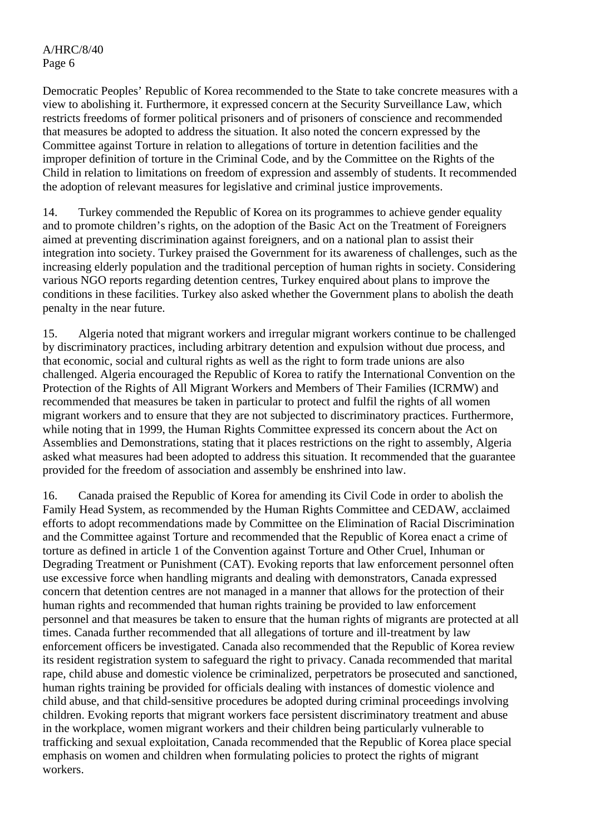Democratic Peoples' Republic of Korea recommended to the State to take concrete measures with a view to abolishing it. Furthermore, it expressed concern at the Security Surveillance Law, which restricts freedoms of former political prisoners and of prisoners of conscience and recommended that measures be adopted to address the situation. It also noted the concern expressed by the Committee against Torture in relation to allegations of torture in detention facilities and the improper definition of torture in the Criminal Code, and by the Committee on the Rights of the Child in relation to limitations on freedom of expression and assembly of students. It recommended the adoption of relevant measures for legislative and criminal justice improvements.

14. Turkey commended the Republic of Korea on its programmes to achieve gender equality and to promote children's rights, on the adoption of the Basic Act on the Treatment of Foreigners aimed at preventing discrimination against foreigners, and on a national plan to assist their integration into society. Turkey praised the Government for its awareness of challenges, such as the increasing elderly population and the traditional perception of human rights in society. Considering various NGO reports regarding detention centres, Turkey enquired about plans to improve the conditions in these facilities. Turkey also asked whether the Government plans to abolish the death penalty in the near future.

15. Algeria noted that migrant workers and irregular migrant workers continue to be challenged by discriminatory practices, including arbitrary detention and expulsion without due process, and that economic, social and cultural rights as well as the right to form trade unions are also challenged. Algeria encouraged the Republic of Korea to ratify the International Convention on the Protection of the Rights of All Migrant Workers and Members of Their Families (ICRMW) and recommended that measures be taken in particular to protect and fulfil the rights of all women migrant workers and to ensure that they are not subjected to discriminatory practices. Furthermore, while noting that in 1999, the Human Rights Committee expressed its concern about the Act on Assemblies and Demonstrations, stating that it places restrictions on the right to assembly, Algeria asked what measures had been adopted to address this situation. It recommended that the guarantee provided for the freedom of association and assembly be enshrined into law.

16. Canada praised the Republic of Korea for amending its Civil Code in order to abolish the Family Head System, as recommended by the Human Rights Committee and CEDAW, acclaimed efforts to adopt recommendations made by Committee on the Elimination of Racial Discrimination and the Committee against Torture and recommended that the Republic of Korea enact a crime of torture as defined in article 1 of the Convention against Torture and Other Cruel, Inhuman or Degrading Treatment or Punishment (CAT). Evoking reports that law enforcement personnel often use excessive force when handling migrants and dealing with demonstrators, Canada expressed concern that detention centres are not managed in a manner that allows for the protection of their human rights and recommended that human rights training be provided to law enforcement personnel and that measures be taken to ensure that the human rights of migrants are protected at all times. Canada further recommended that all allegations of torture and ill-treatment by law enforcement officers be investigated. Canada also recommended that the Republic of Korea review its resident registration system to safeguard the right to privacy. Canada recommended that marital rape, child abuse and domestic violence be criminalized, perpetrators be prosecuted and sanctioned, human rights training be provided for officials dealing with instances of domestic violence and child abuse, and that child-sensitive procedures be adopted during criminal proceedings involving children. Evoking reports that migrant workers face persistent discriminatory treatment and abuse in the workplace, women migrant workers and their children being particularly vulnerable to trafficking and sexual exploitation, Canada recommended that the Republic of Korea place special emphasis on women and children when formulating policies to protect the rights of migrant workers.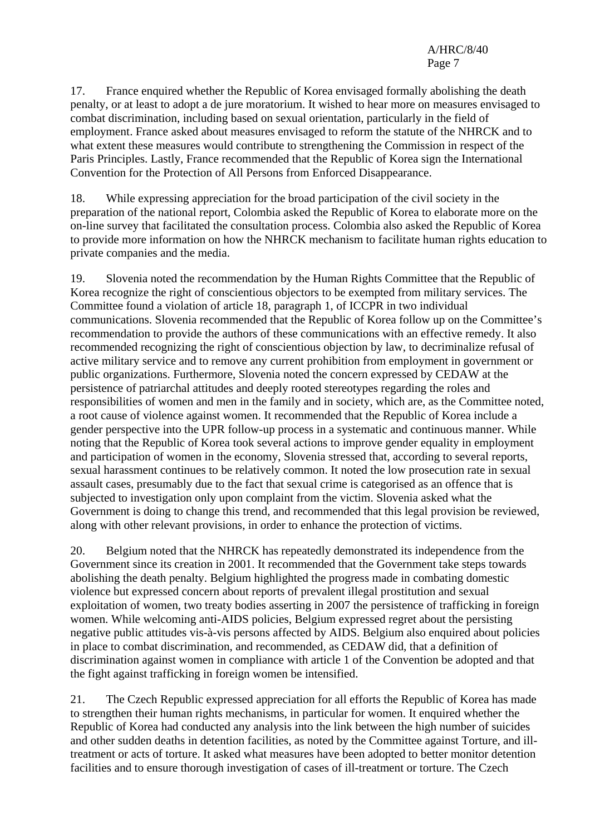17. France enquired whether the Republic of Korea envisaged formally abolishing the death penalty, or at least to adopt a de jure moratorium. It wished to hear more on measures envisaged to combat discrimination, including based on sexual orientation, particularly in the field of employment. France asked about measures envisaged to reform the statute of the NHRCK and to what extent these measures would contribute to strengthening the Commission in respect of the Paris Principles. Lastly, France recommended that the Republic of Korea sign the International Convention for the Protection of All Persons from Enforced Disappearance.

18. While expressing appreciation for the broad participation of the civil society in the preparation of the national report, Colombia asked the Republic of Korea to elaborate more on the on-line survey that facilitated the consultation process. Colombia also asked the Republic of Korea to provide more information on how the NHRCK mechanism to facilitate human rights education to private companies and the media.

19. Slovenia noted the recommendation by the Human Rights Committee that the Republic of Korea recognize the right of conscientious objectors to be exempted from military services. The Committee found a violation of article 18, paragraph 1, of ICCPR in two individual communications. Slovenia recommended that the Republic of Korea follow up on the Committee's recommendation to provide the authors of these communications with an effective remedy. It also recommended recognizing the right of conscientious objection by law, to decriminalize refusal of active military service and to remove any current prohibition from employment in government or public organizations. Furthermore, Slovenia noted the concern expressed by CEDAW at the persistence of patriarchal attitudes and deeply rooted stereotypes regarding the roles and responsibilities of women and men in the family and in society, which are, as the Committee noted, a root cause of violence against women. It recommended that the Republic of Korea include a gender perspective into the UPR follow-up process in a systematic and continuous manner. While noting that the Republic of Korea took several actions to improve gender equality in employment and participation of women in the economy, Slovenia stressed that, according to several reports, sexual harassment continues to be relatively common. It noted the low prosecution rate in sexual assault cases, presumably due to the fact that sexual crime is categorised as an offence that is subjected to investigation only upon complaint from the victim. Slovenia asked what the Government is doing to change this trend, and recommended that this legal provision be reviewed, along with other relevant provisions, in order to enhance the protection of victims.

20. Belgium noted that the NHRCK has repeatedly demonstrated its independence from the Government since its creation in 2001. It recommended that the Government take steps towards abolishing the death penalty. Belgium highlighted the progress made in combating domestic violence but expressed concern about reports of prevalent illegal prostitution and sexual exploitation of women, two treaty bodies asserting in 2007 the persistence of trafficking in foreign women. While welcoming anti-AIDS policies, Belgium expressed regret about the persisting negative public attitudes vis-à-vis persons affected by AIDS. Belgium also enquired about policies in place to combat discrimination, and recommended, as CEDAW did, that a definition of discrimination against women in compliance with article 1 of the Convention be adopted and that the fight against trafficking in foreign women be intensified.

21. The Czech Republic expressed appreciation for all efforts the Republic of Korea has made to strengthen their human rights mechanisms, in particular for women. It enquired whether the Republic of Korea had conducted any analysis into the link between the high number of suicides and other sudden deaths in detention facilities, as noted by the Committee against Torture, and illtreatment or acts of torture. It asked what measures have been adopted to better monitor detention facilities and to ensure thorough investigation of cases of ill-treatment or torture. The Czech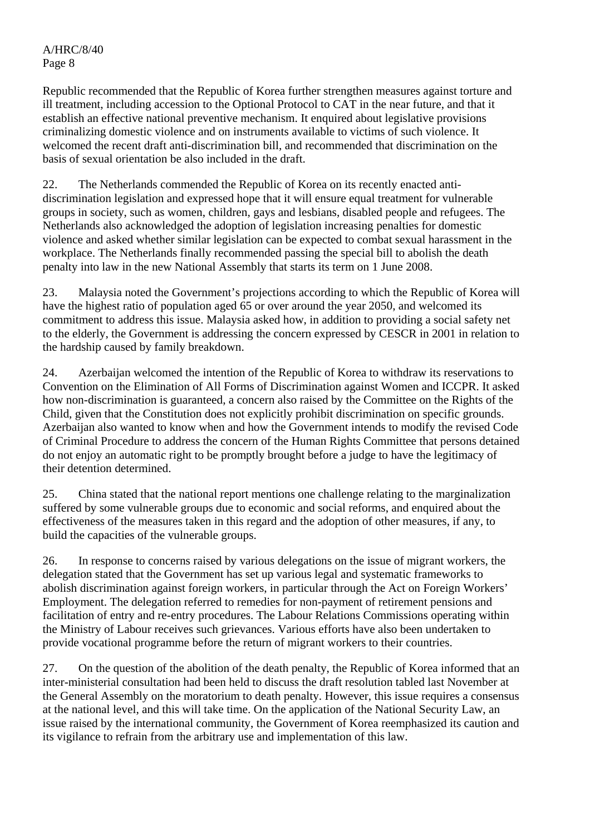Republic recommended that the Republic of Korea further strengthen measures against torture and ill treatment, including accession to the Optional Protocol to CAT in the near future, and that it establish an effective national preventive mechanism. It enquired about legislative provisions criminalizing domestic violence and on instruments available to victims of such violence. It welcomed the recent draft anti-discrimination bill, and recommended that discrimination on the basis of sexual orientation be also included in the draft.

22. The Netherlands commended the Republic of Korea on its recently enacted antidiscrimination legislation and expressed hope that it will ensure equal treatment for vulnerable groups in society, such as women, children, gays and lesbians, disabled people and refugees. The Netherlands also acknowledged the adoption of legislation increasing penalties for domestic violence and asked whether similar legislation can be expected to combat sexual harassment in the workplace. The Netherlands finally recommended passing the special bill to abolish the death penalty into law in the new National Assembly that starts its term on 1 June 2008.

23. Malaysia noted the Government's projections according to which the Republic of Korea will have the highest ratio of population aged 65 or over around the year 2050, and welcomed its commitment to address this issue. Malaysia asked how, in addition to providing a social safety net to the elderly, the Government is addressing the concern expressed by CESCR in 2001 in relation to the hardship caused by family breakdown.

24. Azerbaijan welcomed the intention of the Republic of Korea to withdraw its reservations to Convention on the Elimination of All Forms of Discrimination against Women and ICCPR. It asked how non-discrimination is guaranteed, a concern also raised by the Committee on the Rights of the Child, given that the Constitution does not explicitly prohibit discrimination on specific grounds. Azerbaijan also wanted to know when and how the Government intends to modify the revised Code of Criminal Procedure to address the concern of the Human Rights Committee that persons detained do not enjoy an automatic right to be promptly brought before a judge to have the legitimacy of their detention determined.

25. China stated that the national report mentions one challenge relating to the marginalization suffered by some vulnerable groups due to economic and social reforms, and enquired about the effectiveness of the measures taken in this regard and the adoption of other measures, if any, to build the capacities of the vulnerable groups.

26. In response to concerns raised by various delegations on the issue of migrant workers, the delegation stated that the Government has set up various legal and systematic frameworks to abolish discrimination against foreign workers, in particular through the Act on Foreign Workers' Employment. The delegation referred to remedies for non-payment of retirement pensions and facilitation of entry and re-entry procedures. The Labour Relations Commissions operating within the Ministry of Labour receives such grievances. Various efforts have also been undertaken to provide vocational programme before the return of migrant workers to their countries.

27. On the question of the abolition of the death penalty, the Republic of Korea informed that an inter-ministerial consultation had been held to discuss the draft resolution tabled last November at the General Assembly on the moratorium to death penalty. However, this issue requires a consensus at the national level, and this will take time. On the application of the National Security Law, an issue raised by the international community, the Government of Korea reemphasized its caution and its vigilance to refrain from the arbitrary use and implementation of this law.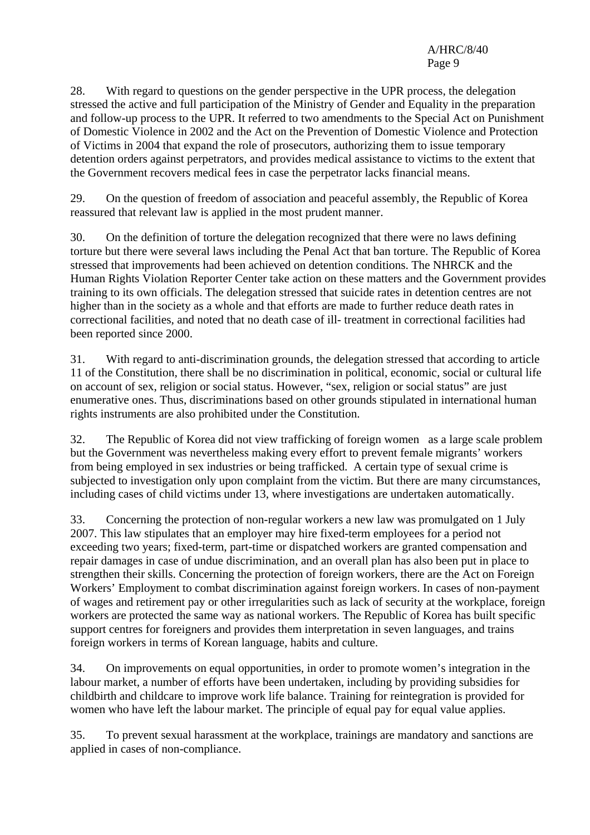28. With regard to questions on the gender perspective in the UPR process, the delegation stressed the active and full participation of the Ministry of Gender and Equality in the preparation and follow-up process to the UPR. It referred to two amendments to the Special Act on Punishment of Domestic Violence in 2002 and the Act on the Prevention of Domestic Violence and Protection of Victims in 2004 that expand the role of prosecutors, authorizing them to issue temporary detention orders against perpetrators, and provides medical assistance to victims to the extent that the Government recovers medical fees in case the perpetrator lacks financial means.

29. On the question of freedom of association and peaceful assembly, the Republic of Korea reassured that relevant law is applied in the most prudent manner.

30. On the definition of torture the delegation recognized that there were no laws defining torture but there were several laws including the Penal Act that ban torture. The Republic of Korea stressed that improvements had been achieved on detention conditions. The NHRCK and the Human Rights Violation Reporter Center take action on these matters and the Government provides training to its own officials. The delegation stressed that suicide rates in detention centres are not higher than in the society as a whole and that efforts are made to further reduce death rates in correctional facilities, and noted that no death case of ill- treatment in correctional facilities had been reported since 2000.

31. With regard to anti-discrimination grounds, the delegation stressed that according to article 11 of the Constitution, there shall be no discrimination in political, economic, social or cultural life on account of sex, religion or social status. However, "sex, religion or social status" are just enumerative ones. Thus, discriminations based on other grounds stipulated in international human rights instruments are also prohibited under the Constitution.

32. The Republic of Korea did not view trafficking of foreign women as a large scale problem but the Government was nevertheless making every effort to prevent female migrants' workers from being employed in sex industries or being trafficked. A certain type of sexual crime is subjected to investigation only upon complaint from the victim. But there are many circumstances, including cases of child victims under 13, where investigations are undertaken automatically.

33. Concerning the protection of non-regular workers a new law was promulgated on 1 July 2007. This law stipulates that an employer may hire fixed-term employees for a period not exceeding two years; fixed-term, part-time or dispatched workers are granted compensation and repair damages in case of undue discrimination, and an overall plan has also been put in place to strengthen their skills. Concerning the protection of foreign workers, there are the Act on Foreign Workers' Employment to combat discrimination against foreign workers. In cases of non-payment of wages and retirement pay or other irregularities such as lack of security at the workplace, foreign workers are protected the same way as national workers. The Republic of Korea has built specific support centres for foreigners and provides them interpretation in seven languages, and trains foreign workers in terms of Korean language, habits and culture.

34. On improvements on equal opportunities, in order to promote women's integration in the labour market, a number of efforts have been undertaken, including by providing subsidies for childbirth and childcare to improve work life balance. Training for reintegration is provided for women who have left the labour market. The principle of equal pay for equal value applies.

35. To prevent sexual harassment at the workplace, trainings are mandatory and sanctions are applied in cases of non-compliance.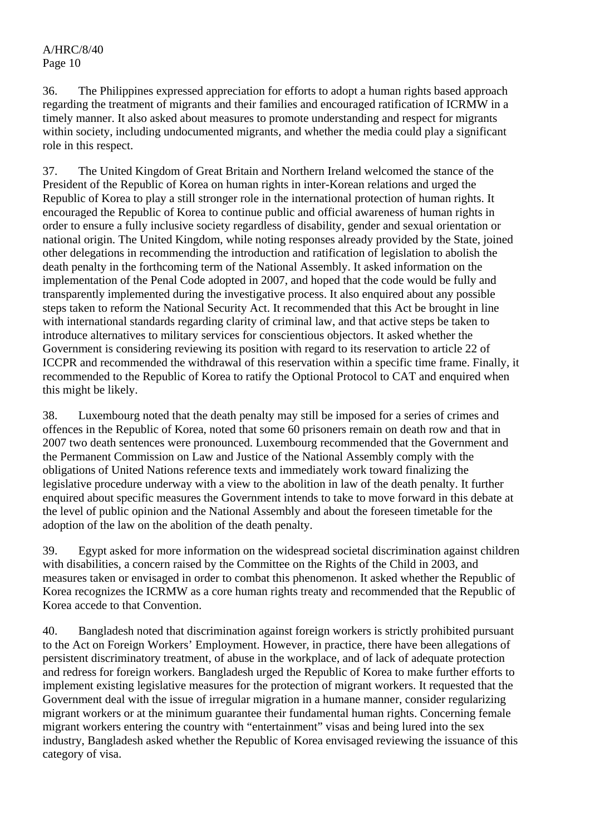36. The Philippines expressed appreciation for efforts to adopt a human rights based approach regarding the treatment of migrants and their families and encouraged ratification of ICRMW in a timely manner. It also asked about measures to promote understanding and respect for migrants within society, including undocumented migrants, and whether the media could play a significant role in this respect.

37. The United Kingdom of Great Britain and Northern Ireland welcomed the stance of the President of the Republic of Korea on human rights in inter-Korean relations and urged the Republic of Korea to play a still stronger role in the international protection of human rights. It encouraged the Republic of Korea to continue public and official awareness of human rights in order to ensure a fully inclusive society regardless of disability, gender and sexual orientation or national origin. The United Kingdom, while noting responses already provided by the State, joined other delegations in recommending the introduction and ratification of legislation to abolish the death penalty in the forthcoming term of the National Assembly. It asked information on the implementation of the Penal Code adopted in 2007, and hoped that the code would be fully and transparently implemented during the investigative process. It also enquired about any possible steps taken to reform the National Security Act. It recommended that this Act be brought in line with international standards regarding clarity of criminal law, and that active steps be taken to introduce alternatives to military services for conscientious objectors. It asked whether the Government is considering reviewing its position with regard to its reservation to article 22 of ICCPR and recommended the withdrawal of this reservation within a specific time frame. Finally, it recommended to the Republic of Korea to ratify the Optional Protocol to CAT and enquired when this might be likely.

38. Luxembourg noted that the death penalty may still be imposed for a series of crimes and offences in the Republic of Korea, noted that some 60 prisoners remain on death row and that in 2007 two death sentences were pronounced. Luxembourg recommended that the Government and the Permanent Commission on Law and Justice of the National Assembly comply with the obligations of United Nations reference texts and immediately work toward finalizing the legislative procedure underway with a view to the abolition in law of the death penalty. It further enquired about specific measures the Government intends to take to move forward in this debate at the level of public opinion and the National Assembly and about the foreseen timetable for the adoption of the law on the abolition of the death penalty.

39. Egypt asked for more information on the widespread societal discrimination against children with disabilities, a concern raised by the Committee on the Rights of the Child in 2003, and measures taken or envisaged in order to combat this phenomenon. It asked whether the Republic of Korea recognizes the ICRMW as a core human rights treaty and recommended that the Republic of Korea accede to that Convention.

40. Bangladesh noted that discrimination against foreign workers is strictly prohibited pursuant to the Act on Foreign Workers' Employment. However, in practice, there have been allegations of persistent discriminatory treatment, of abuse in the workplace, and of lack of adequate protection and redress for foreign workers. Bangladesh urged the Republic of Korea to make further efforts to implement existing legislative measures for the protection of migrant workers. It requested that the Government deal with the issue of irregular migration in a humane manner, consider regularizing migrant workers or at the minimum guarantee their fundamental human rights. Concerning female migrant workers entering the country with "entertainment" visas and being lured into the sex industry, Bangladesh asked whether the Republic of Korea envisaged reviewing the issuance of this category of visa.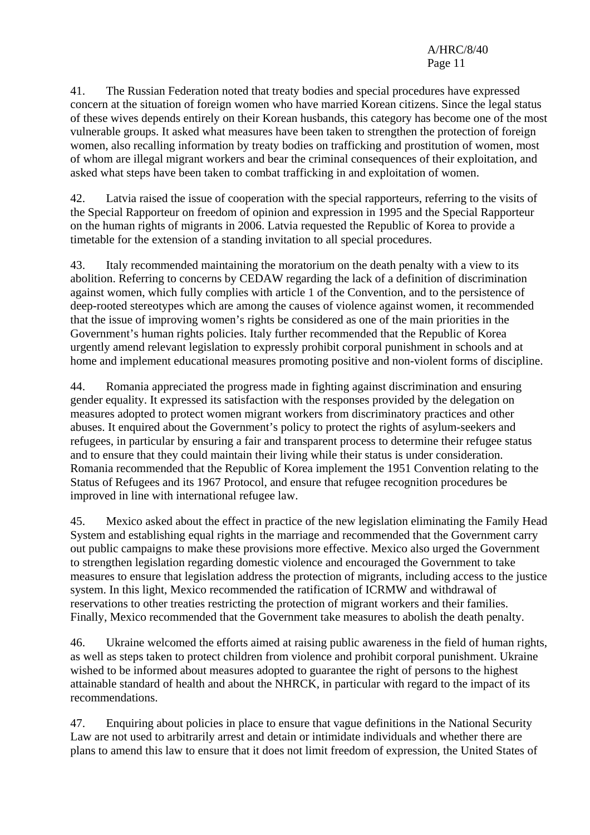41. The Russian Federation noted that treaty bodies and special procedures have expressed concern at the situation of foreign women who have married Korean citizens. Since the legal status of these wives depends entirely on their Korean husbands, this category has become one of the most vulnerable groups. It asked what measures have been taken to strengthen the protection of foreign women, also recalling information by treaty bodies on trafficking and prostitution of women, most of whom are illegal migrant workers and bear the criminal consequences of their exploitation, and asked what steps have been taken to combat trafficking in and exploitation of women.

42. Latvia raised the issue of cooperation with the special rapporteurs, referring to the visits of the Special Rapporteur on freedom of opinion and expression in 1995 and the Special Rapporteur on the human rights of migrants in 2006. Latvia requested the Republic of Korea to provide a timetable for the extension of a standing invitation to all special procedures.

43. Italy recommended maintaining the moratorium on the death penalty with a view to its abolition. Referring to concerns by CEDAW regarding the lack of a definition of discrimination against women, which fully complies with article 1 of the Convention, and to the persistence of deep-rooted stereotypes which are among the causes of violence against women, it recommended that the issue of improving women's rights be considered as one of the main priorities in the Government's human rights policies. Italy further recommended that the Republic of Korea urgently amend relevant legislation to expressly prohibit corporal punishment in schools and at home and implement educational measures promoting positive and non-violent forms of discipline.

44. Romania appreciated the progress made in fighting against discrimination and ensuring gender equality. It expressed its satisfaction with the responses provided by the delegation on measures adopted to protect women migrant workers from discriminatory practices and other abuses. It enquired about the Government's policy to protect the rights of asylum-seekers and refugees, in particular by ensuring a fair and transparent process to determine their refugee status and to ensure that they could maintain their living while their status is under consideration. Romania recommended that the Republic of Korea implement the 1951 Convention relating to the Status of Refugees and its 1967 Protocol, and ensure that refugee recognition procedures be improved in line with international refugee law.

45. Mexico asked about the effect in practice of the new legislation eliminating the Family Head System and establishing equal rights in the marriage and recommended that the Government carry out public campaigns to make these provisions more effective. Mexico also urged the Government to strengthen legislation regarding domestic violence and encouraged the Government to take measures to ensure that legislation address the protection of migrants, including access to the justice system. In this light, Mexico recommended the ratification of ICRMW and withdrawal of reservations to other treaties restricting the protection of migrant workers and their families. Finally, Mexico recommended that the Government take measures to abolish the death penalty.

46. Ukraine welcomed the efforts aimed at raising public awareness in the field of human rights, as well as steps taken to protect children from violence and prohibit corporal punishment. Ukraine wished to be informed about measures adopted to guarantee the right of persons to the highest attainable standard of health and about the NHRCK, in particular with regard to the impact of its recommendations.

47. Enquiring about policies in place to ensure that vague definitions in the National Security Law are not used to arbitrarily arrest and detain or intimidate individuals and whether there are plans to amend this law to ensure that it does not limit freedom of expression, the United States of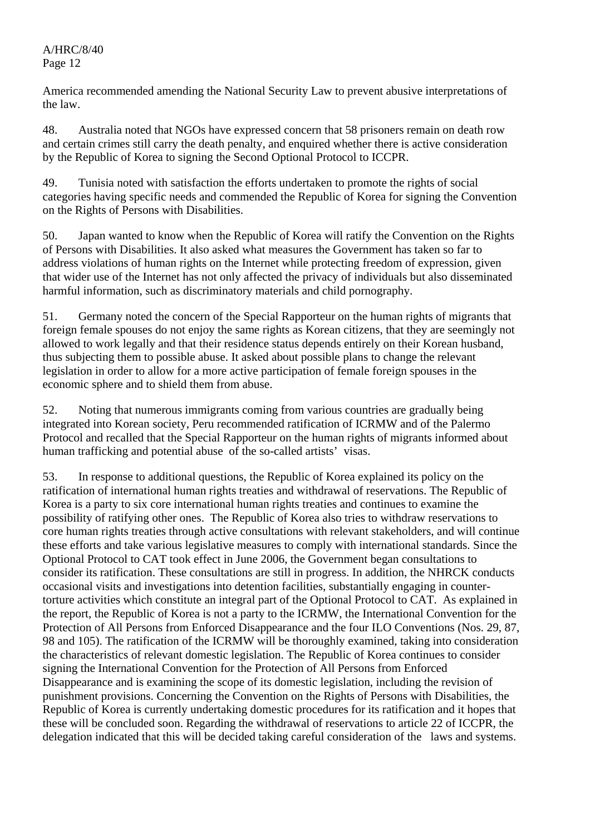America recommended amending the National Security Law to prevent abusive interpretations of the law.

48. Australia noted that NGOs have expressed concern that 58 prisoners remain on death row and certain crimes still carry the death penalty, and enquired whether there is active consideration by the Republic of Korea to signing the Second Optional Protocol to ICCPR.

49. Tunisia noted with satisfaction the efforts undertaken to promote the rights of social categories having specific needs and commended the Republic of Korea for signing the Convention on the Rights of Persons with Disabilities.

50. Japan wanted to know when the Republic of Korea will ratify the Convention on the Rights of Persons with Disabilities. It also asked what measures the Government has taken so far to address violations of human rights on the Internet while protecting freedom of expression, given that wider use of the Internet has not only affected the privacy of individuals but also disseminated harmful information, such as discriminatory materials and child pornography.

51. Germany noted the concern of the Special Rapporteur on the human rights of migrants that foreign female spouses do not enjoy the same rights as Korean citizens, that they are seemingly not allowed to work legally and that their residence status depends entirely on their Korean husband, thus subjecting them to possible abuse. It asked about possible plans to change the relevant legislation in order to allow for a more active participation of female foreign spouses in the economic sphere and to shield them from abuse.

52. Noting that numerous immigrants coming from various countries are gradually being integrated into Korean society, Peru recommended ratification of ICRMW and of the Palermo Protocol and recalled that the Special Rapporteur on the human rights of migrants informed about human trafficking and potential abuse of the so-called artists' visas.

53. In response to additional questions, the Republic of Korea explained its policy on the ratification of international human rights treaties and withdrawal of reservations. The Republic of Korea is a party to six core international human rights treaties and continues to examine the possibility of ratifying other ones. The Republic of Korea also tries to withdraw reservations to core human rights treaties through active consultations with relevant stakeholders, and will continue these efforts and take various legislative measures to comply with international standards. Since the Optional Protocol to CAT took effect in June 2006, the Government began consultations to consider its ratification. These consultations are still in progress. In addition, the NHRCK conducts occasional visits and investigations into detention facilities, substantially engaging in countertorture activities which constitute an integral part of the Optional Protocol to CAT. As explained in the report, the Republic of Korea is not a party to the ICRMW, the International Convention for the Protection of All Persons from Enforced Disappearance and the four ILO Conventions (Nos. 29, 87, 98 and 105). The ratification of the ICRMW will be thoroughly examined, taking into consideration the characteristics of relevant domestic legislation. The Republic of Korea continues to consider signing the International Convention for the Protection of All Persons from Enforced Disappearance and is examining the scope of its domestic legislation, including the revision of punishment provisions. Concerning the Convention on the Rights of Persons with Disabilities, the Republic of Korea is currently undertaking domestic procedures for its ratification and it hopes that these will be concluded soon. Regarding the withdrawal of reservations to article 22 of ICCPR, the delegation indicated that this will be decided taking careful consideration of the laws and systems.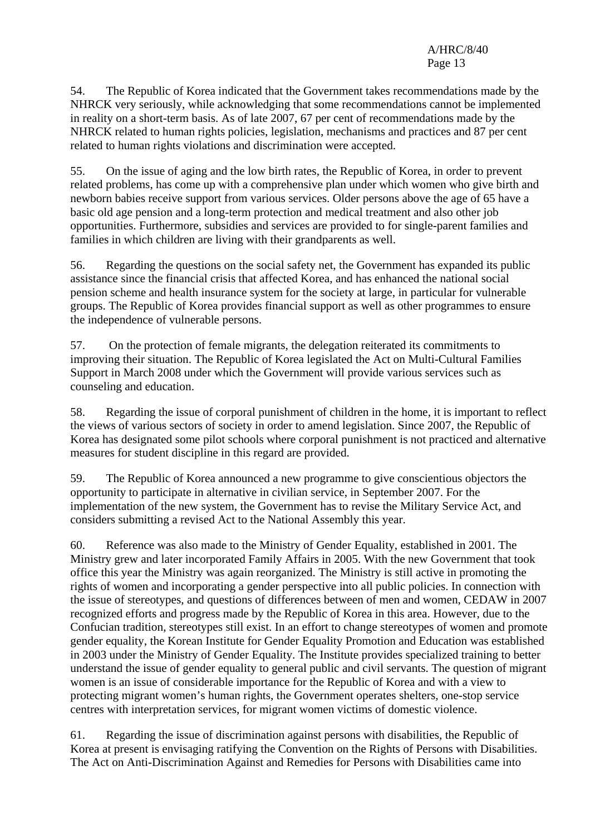54. The Republic of Korea indicated that the Government takes recommendations made by the NHRCK very seriously, while acknowledging that some recommendations cannot be implemented in reality on a short-term basis. As of late 2007, 67 per cent of recommendations made by the NHRCK related to human rights policies, legislation, mechanisms and practices and 87 per cent related to human rights violations and discrimination were accepted.

55. On the issue of aging and the low birth rates, the Republic of Korea, in order to prevent related problems, has come up with a comprehensive plan under which women who give birth and newborn babies receive support from various services. Older persons above the age of 65 have a basic old age pension and a long-term protection and medical treatment and also other job opportunities. Furthermore, subsidies and services are provided to for single-parent families and families in which children are living with their grandparents as well.

56. Regarding the questions on the social safety net, the Government has expanded its public assistance since the financial crisis that affected Korea, and has enhanced the national social pension scheme and health insurance system for the society at large, in particular for vulnerable groups. The Republic of Korea provides financial support as well as other programmes to ensure the independence of vulnerable persons.

57. On the protection of female migrants, the delegation reiterated its commitments to improving their situation. The Republic of Korea legislated the Act on Multi-Cultural Families Support in March 2008 under which the Government will provide various services such as counseling and education.

58. Regarding the issue of corporal punishment of children in the home, it is important to reflect the views of various sectors of society in order to amend legislation. Since 2007, the Republic of Korea has designated some pilot schools where corporal punishment is not practiced and alternative measures for student discipline in this regard are provided.

59. The Republic of Korea announced a new programme to give conscientious objectors the opportunity to participate in alternative in civilian service, in September 2007. For the implementation of the new system, the Government has to revise the Military Service Act, and considers submitting a revised Act to the National Assembly this year.

60. Reference was also made to the Ministry of Gender Equality, established in 2001. The Ministry grew and later incorporated Family Affairs in 2005. With the new Government that took office this year the Ministry was again reorganized. The Ministry is still active in promoting the rights of women and incorporating a gender perspective into all public policies. In connection with the issue of stereotypes, and questions of differences between of men and women, CEDAW in 2007 recognized efforts and progress made by the Republic of Korea in this area. However, due to the Confucian tradition, stereotypes still exist. In an effort to change stereotypes of women and promote gender equality, the Korean Institute for Gender Equality Promotion and Education was established in 2003 under the Ministry of Gender Equality. The Institute provides specialized training to better understand the issue of gender equality to general public and civil servants. The question of migrant women is an issue of considerable importance for the Republic of Korea and with a view to protecting migrant women's human rights, the Government operates shelters, one-stop service centres with interpretation services, for migrant women victims of domestic violence.

61. Regarding the issue of discrimination against persons with disabilities, the Republic of Korea at present is envisaging ratifying the Convention on the Rights of Persons with Disabilities. The Act on Anti-Discrimination Against and Remedies for Persons with Disabilities came into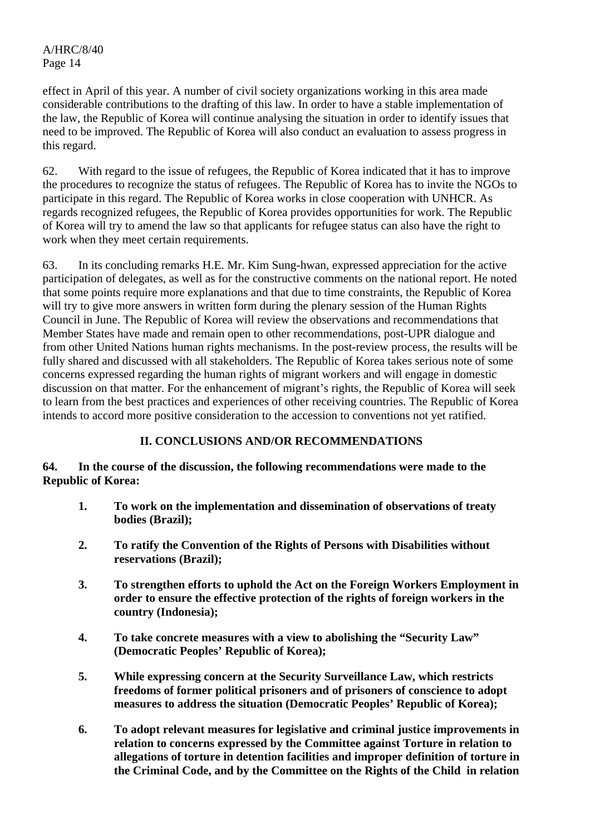effect in April of this year. A number of civil society organizations working in this area made considerable contributions to the drafting of this law. In order to have a stable implementation of the law, the Republic of Korea will continue analysing the situation in order to identify issues that need to be improved. The Republic of Korea will also conduct an evaluation to assess progress in this regard.

62. With regard to the issue of refugees, the Republic of Korea indicated that it has to improve the procedures to recognize the status of refugees. The Republic of Korea has to invite the NGOs to participate in this regard. The Republic of Korea works in close cooperation with UNHCR. As regards recognized refugees, the Republic of Korea provides opportunities for work. The Republic of Korea will try to amend the law so that applicants for refugee status can also have the right to work when they meet certain requirements.

63. In its concluding remarks H.E. Mr. Kim Sung-hwan, expressed appreciation for the active participation of delegates, as well as for the constructive comments on the national report. He noted that some points require more explanations and that due to time constraints, the Republic of Korea will try to give more answers in written form during the plenary session of the Human Rights Council in June. The Republic of Korea will review the observations and recommendations that Member States have made and remain open to other recommendations, post-UPR dialogue and from other United Nations human rights mechanisms. In the post-review process, the results will be fully shared and discussed with all stakeholders. The Republic of Korea takes serious note of some concerns expressed regarding the human rights of migrant workers and will engage in domestic discussion on that matter. For the enhancement of migrant's rights, the Republic of Korea will seek to learn from the best practices and experiences of other receiving countries. The Republic of Korea intends to accord more positive consideration to the accession to conventions not yet ratified.

# **II. CONCLUSIONS AND/OR RECOMMENDATIONS**

## **64. In the course of the discussion, the following recommendations were made to the Republic of Korea:**

- **1. To work on the implementation and dissemination of observations of treaty bodies (Brazil);**
- **2. To ratify the Convention of the Rights of Persons with Disabilities without reservations (Brazil);**
- **3. To strengthen efforts to uphold the Act on the Foreign Workers Employment in order to ensure the effective protection of the rights of foreign workers in the country (Indonesia);**
- **4. To take concrete measures with a view to abolishing the "Security Law" (Democratic Peoples' Republic of Korea);**
- **5. While expressing concern at the Security Surveillance Law, which restricts freedoms of former political prisoners and of prisoners of conscience to adopt measures to address the situation (Democratic Peoples' Republic of Korea);**
- **6. To adopt relevant measures for legislative and criminal justice improvements in relation to concerns expressed by the Committee against Torture in relation to allegations of torture in detention facilities and improper definition of torture in the Criminal Code, and by the Committee on the Rights of the Child in relation**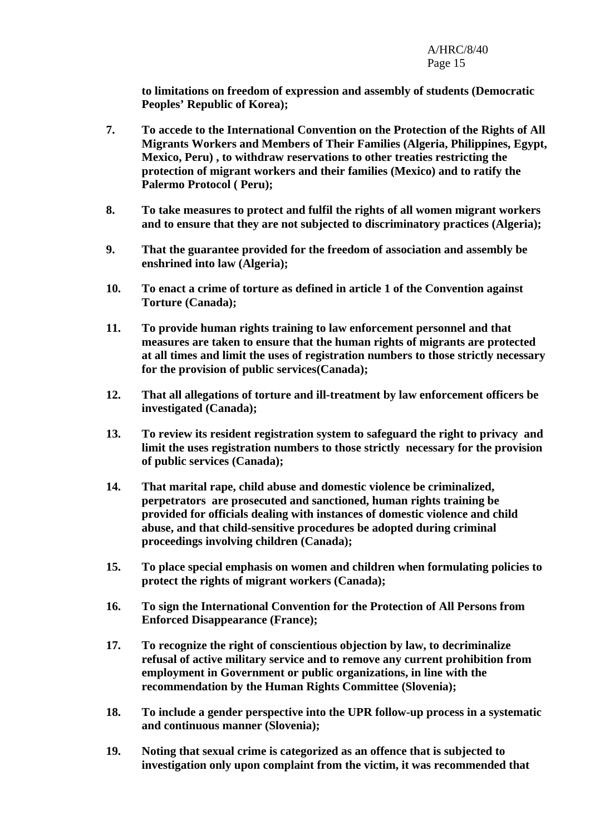**to limitations on freedom of expression and assembly of students (Democratic Peoples' Republic of Korea);** 

- **7. To accede to the International Convention on the Protection of the Rights of All Migrants Workers and Members of Their Families (Algeria, Philippines, Egypt, Mexico, Peru) , to withdraw reservations to other treaties restricting the protection of migrant workers and their families (Mexico) and to ratify the Palermo Protocol ( Peru);**
- **8. To take measures to protect and fulfil the rights of all women migrant workers and to ensure that they are not subjected to discriminatory practices (Algeria);**
- **9. That the guarantee provided for the freedom of association and assembly be enshrined into law (Algeria);**
- **10. To enact a crime of torture as defined in article 1 of the Convention against Torture (Canada);**
- **11. To provide human rights training to law enforcement personnel and that measures are taken to ensure that the human rights of migrants are protected at all times and limit the uses of registration numbers to those strictly necessary for the provision of public services(Canada);**
- **12. That all allegations of torture and ill-treatment by law enforcement officers be investigated (Canada);**
- **13. To review its resident registration system to safeguard the right to privacy and limit the uses registration numbers to those strictly necessary for the provision of public services (Canada);**
- **14. That marital rape, child abuse and domestic violence be criminalized, perpetrators are prosecuted and sanctioned, human rights training be provided for officials dealing with instances of domestic violence and child abuse, and that child-sensitive procedures be adopted during criminal proceedings involving children (Canada);**
- **15. To place special emphasis on women and children when formulating policies to protect the rights of migrant workers (Canada);**
- **16. To sign the International Convention for the Protection of All Persons from Enforced Disappearance (France);**
- **17. To recognize the right of conscientious objection by law, to decriminalize refusal of active military service and to remove any current prohibition from employment in Government or public organizations, in line with the recommendation by the Human Rights Committee (Slovenia);**
- **18. To include a gender perspective into the UPR follow-up process in a systematic and continuous manner (Slovenia);**
- **19. Noting that sexual crime is categorized as an offence that is subjected to investigation only upon complaint from the victim, it was recommended that**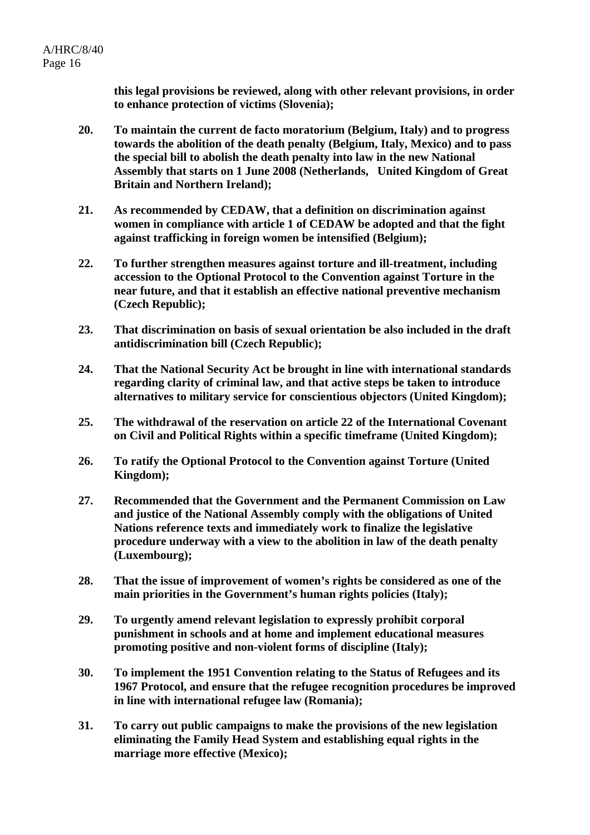**this legal provisions be reviewed, along with other relevant provisions, in order to enhance protection of victims (Slovenia);** 

- **20. To maintain the current de facto moratorium (Belgium, Italy) and to progress towards the abolition of the death penalty (Belgium, Italy, Mexico) and to pass the special bill to abolish the death penalty into law in the new National Assembly that starts on 1 June 2008 (Netherlands, United Kingdom of Great Britain and Northern Ireland);**
- **21. As recommended by CEDAW, that a definition on discrimination against women in compliance with article 1 of CEDAW be adopted and that the fight against trafficking in foreign women be intensified (Belgium);**
- **22. To further strengthen measures against torture and ill-treatment, including accession to the Optional Protocol to the Convention against Torture in the near future, and that it establish an effective national preventive mechanism (Czech Republic);**
- **23. That discrimination on basis of sexual orientation be also included in the draft antidiscrimination bill (Czech Republic);**
- **24. That the National Security Act be brought in line with international standards regarding clarity of criminal law, and that active steps be taken to introduce alternatives to military service for conscientious objectors (United Kingdom);**
- **25. The withdrawal of the reservation on article 22 of the International Covenant on Civil and Political Rights within a specific timeframe (United Kingdom);**
- **26. To ratify the Optional Protocol to the Convention against Torture (United Kingdom);**
- **27. Recommended that the Government and the Permanent Commission on Law and justice of the National Assembly comply with the obligations of United Nations reference texts and immediately work to finalize the legislative procedure underway with a view to the abolition in law of the death penalty (Luxembourg);**
- **28. That the issue of improvement of women's rights be considered as one of the main priorities in the Government's human rights policies (Italy);**
- **29. To urgently amend relevant legislation to expressly prohibit corporal punishment in schools and at home and implement educational measures promoting positive and non-violent forms of discipline (Italy);**
- **30. To implement the 1951 Convention relating to the Status of Refugees and its 1967 Protocol, and ensure that the refugee recognition procedures be improved in line with international refugee law (Romania);**
- **31. To carry out public campaigns to make the provisions of the new legislation eliminating the Family Head System and establishing equal rights in the marriage more effective (Mexico);**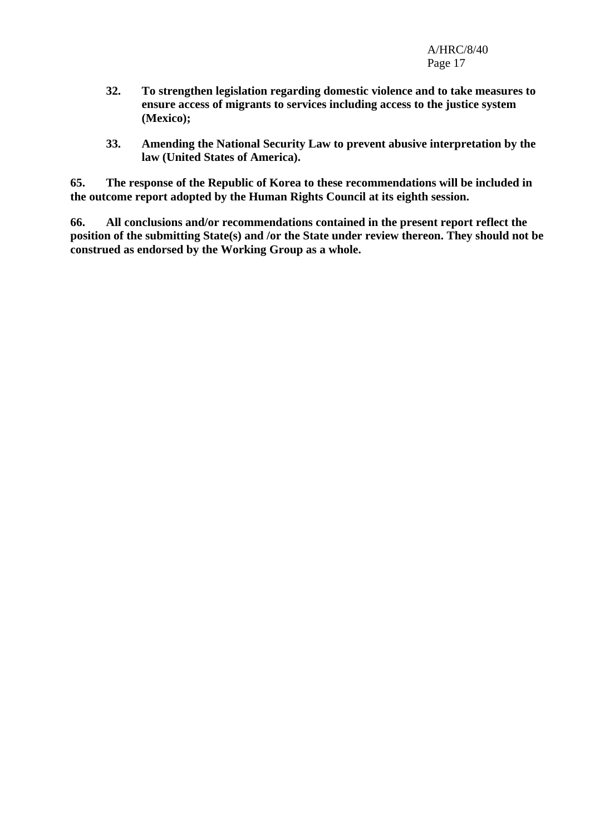- **32. To strengthen legislation regarding domestic violence and to take measures to ensure access of migrants to services including access to the justice system (Mexico);**
- **33. Amending the National Security Law to prevent abusive interpretation by the law (United States of America).**

**65. The response of the Republic of Korea to these recommendations will be included in the outcome report adopted by the Human Rights Council at its eighth session.** 

**66. All conclusions and/or recommendations contained in the present report reflect the position of the submitting State(s) and /or the State under review thereon. They should not be construed as endorsed by the Working Group as a whole.**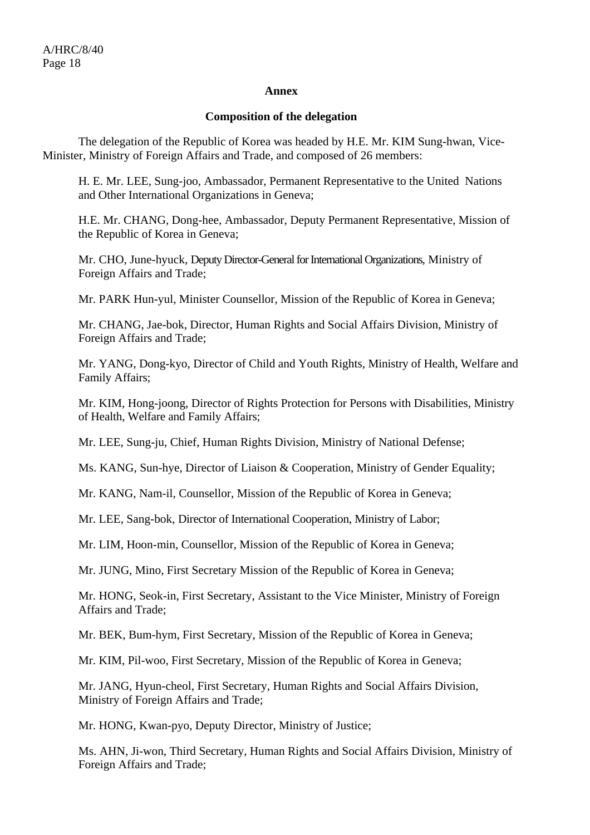#### **Annex**

#### **Composition of the delegation**

 The delegation of the Republic of Korea was headed by H.E. Mr. KIM Sung-hwan, Vice-Minister, Ministry of Foreign Affairs and Trade, and composed of 26 members:

H. E. Mr. LEE, Sung-joo, Ambassador, Permanent Representative to the United Nations and Other International Organizations in Geneva;

H.E. Mr. CHANG, Dong-hee, Ambassador, Deputy Permanent Representative, Mission of the Republic of Korea in Geneva;

Mr. CHO, June-hyuck, Deputy Director-General for International Organizations, Ministry of Foreign Affairs and Trade;

Mr. PARK Hun-yul, Minister Counsellor, Mission of the Republic of Korea in Geneva;

Mr. CHANG, Jae-bok, Director, Human Rights and Social Affairs Division, Ministry of Foreign Affairs and Trade;

Mr. YANG, Dong-kyo, Director of Child and Youth Rights, Ministry of Health, Welfare and Family Affairs;

Mr. KIM, Hong-joong, Director of Rights Protection for Persons with Disabilities, Ministry of Health, Welfare and Family Affairs;

Mr. LEE, Sung-ju, Chief, Human Rights Division, Ministry of National Defense;

Ms. KANG, Sun-hye, Director of Liaison & Cooperation, Ministry of Gender Equality;

Mr. KANG, Nam-il, Counsellor, Mission of the Republic of Korea in Geneva;

Mr. LEE, Sang-bok, Director of International Cooperation, Ministry of Labor;

Mr. LIM, Hoon-min, Counsellor, Mission of the Republic of Korea in Geneva;

Mr. JUNG, Mino, First Secretary Mission of the Republic of Korea in Geneva;

Mr. HONG, Seok-in, First Secretary, Assistant to the Vice Minister, Ministry of Foreign Affairs and Trade;

Mr. BEK, Bum-hym, First Secretary, Mission of the Republic of Korea in Geneva;

Mr. KIM, Pil-woo, First Secretary, Mission of the Republic of Korea in Geneva;

Mr. JANG, Hyun-cheol, First Secretary, Human Rights and Social Affairs Division, Ministry of Foreign Affairs and Trade;

Mr. HONG, Kwan-pyo, Deputy Director, Ministry of Justice;

Ms. AHN, Ji-won, Third Secretary, Human Rights and Social Affairs Division, Ministry of Foreign Affairs and Trade;